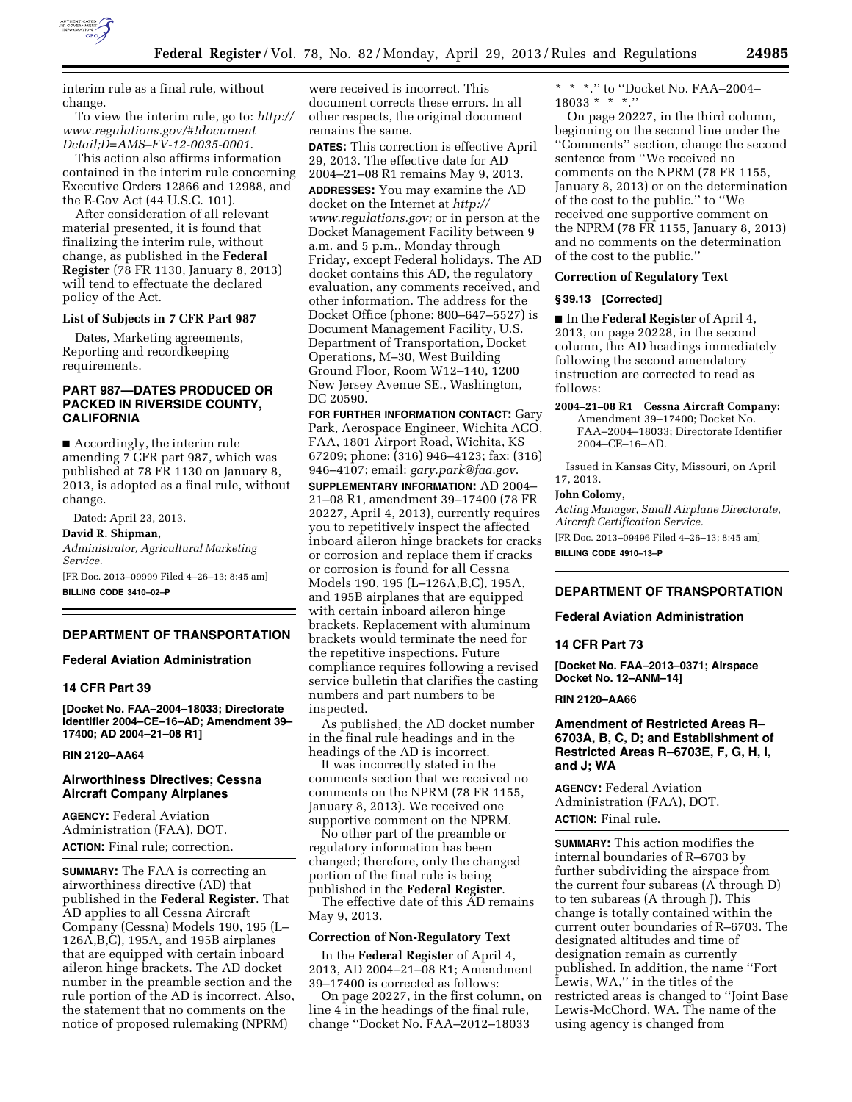

interim rule as a final rule, without change.

To view the interim rule, go to: *[http://](http://www.regulations.gov/#!documentDetail;D=AMS-FV-12-0035-0001) [www.regulations.gov/#!document](http://www.regulations.gov/#!documentDetail;D=AMS-FV-12-0035-0001) [Detail;D=AMS–FV-12-0035-0001](http://www.regulations.gov/#!documentDetail;D=AMS-FV-12-0035-0001)*.

This action also affirms information contained in the interim rule concerning Executive Orders 12866 and 12988, and the E-Gov Act (44 U.S.C. 101).

After consideration of all relevant material presented, it is found that finalizing the interim rule, without change, as published in the **Federal Register** (78 FR 1130, January 8, 2013) will tend to effectuate the declared policy of the Act.

## **List of Subjects in 7 CFR Part 987**

Dates, Marketing agreements, Reporting and recordkeeping requirements.

# **PART 987—DATES PRODUCED OR PACKED IN RIVERSIDE COUNTY, CALIFORNIA**

■ Accordingly, the interim rule amending 7 CFR part 987, which was published at 78 FR 1130 on January 8, 2013, is adopted as a final rule, without change.

Dated: April 23, 2013.

**David R. Shipman,** 

*Administrator, Agricultural Marketing Service.* 

[FR Doc. 2013–09999 Filed 4–26–13; 8:45 am] **BILLING CODE 3410–02–P** 

# **DEPARTMENT OF TRANSPORTATION**

## **Federal Aviation Administration**

# **14 CFR Part 39**

**[Docket No. FAA–2004–18033; Directorate Identifier 2004–CE–16–AD; Amendment 39– 17400; AD 2004–21–08 R1]** 

## **RIN 2120–AA64**

## **Airworthiness Directives; Cessna Aircraft Company Airplanes**

**AGENCY:** Federal Aviation Administration (FAA), DOT. **ACTION:** Final rule; correction.

**SUMMARY:** The FAA is correcting an airworthiness directive (AD) that published in the **Federal Register**. That AD applies to all Cessna Aircraft Company (Cessna) Models 190, 195 (L– 126A,B,C), 195A, and 195B airplanes that are equipped with certain inboard aileron hinge brackets. The AD docket number in the preamble section and the rule portion of the AD is incorrect. Also, the statement that no comments on the notice of proposed rulemaking (NPRM)

were received is incorrect. This document corrects these errors. In all other respects, the original document remains the same.

**DATES:** This correction is effective April 29, 2013. The effective date for AD 2004–21–08 R1 remains May 9, 2013. **ADDRESSES:** You may examine the AD docket on the Internet at *[http://](http://www.regulations.gov)  [www.regulations.gov;](http://www.regulations.gov)* or in person at the Docket Management Facility between 9 a.m. and 5 p.m., Monday through Friday, except Federal holidays. The AD docket contains this AD, the regulatory evaluation, any comments received, and other information. The address for the Docket Office (phone: 800–647–5527) is Document Management Facility, U.S. Department of Transportation, Docket Operations, M–30, West Building Ground Floor, Room W12–140, 1200 New Jersey Avenue SE., Washington, DC 20590.

**FOR FURTHER INFORMATION CONTACT:** Gary Park, Aerospace Engineer, Wichita ACO, FAA, 1801 Airport Road, Wichita, KS 67209; phone: (316) 946–4123; fax: (316) 946–4107; email: *[gary.park@faa.gov](mailto:gary.park@faa.gov)*.

**SUPPLEMENTARY INFORMATION:** AD 2004– 21–08 R1, amendment 39–17400 (78 FR 20227, April 4, 2013), currently requires you to repetitively inspect the affected inboard aileron hinge brackets for cracks or corrosion and replace them if cracks or corrosion is found for all Cessna Models 190, 195 (L–126A,B,C), 195A, and 195B airplanes that are equipped with certain inboard aileron hinge brackets. Replacement with aluminum brackets would terminate the need for the repetitive inspections. Future compliance requires following a revised service bulletin that clarifies the casting numbers and part numbers to be inspected.

As published, the AD docket number in the final rule headings and in the headings of the AD is incorrect.

It was incorrectly stated in the comments section that we received no comments on the NPRM (78 FR 1155, January 8, 2013). We received one supportive comment on the NPRM.

No other part of the preamble or regulatory information has been changed; therefore, only the changed portion of the final rule is being published in the **Federal Register**.

The effective date of this AD remains May 9, 2013.

# **Correction of Non-Regulatory Text**

In the **Federal Register** of April 4, 2013, AD 2004–21–08 R1; Amendment 39–17400 is corrected as follows:

On page 20227, in the first column, on line 4 in the headings of the final rule, change ''Docket No. FAA–2012–18033

\* \* \*.'' to ''Docket No. FAA–2004– 18033 \* \* \*.''

On page 20227, in the third column, beginning on the second line under the ''Comments'' section, change the second sentence from ''We received no comments on the NPRM (78 FR 1155, January 8, 2013) or on the determination of the cost to the public.'' to ''We received one supportive comment on the NPRM (78 FR 1155, January 8, 2013) and no comments on the determination of the cost to the public.''

# **Correction of Regulatory Text**

#### **§ 39.13 [Corrected]**

■ In the **Federal Register** of April 4, 2013, on page 20228, in the second column, the AD headings immediately following the second amendatory instruction are corrected to read as follows:

**2004–21–08 R1 Cessna Aircraft Company:**  Amendment 39–17400; Docket No. FAA–2004–18033; Directorate Identifier 2004–CE–16–AD.

Issued in Kansas City, Missouri, on April 17, 2013.

### **John Colomy,**

*Acting Manager, Small Airplane Directorate, Aircraft Certification Service.* 

[FR Doc. 2013–09496 Filed 4–26–13; 8:45 am] **BILLING CODE 4910–13–P** 

# **DEPARTMENT OF TRANSPORTATION**

#### **Federal Aviation Administration**

#### **14 CFR Part 73**

**[Docket No. FAA–2013–0371; Airspace Docket No. 12–ANM–14]** 

## **RIN 2120–AA66**

**Amendment of Restricted Areas R– 6703A, B, C, D; and Establishment of Restricted Areas R–6703E, F, G, H, I, and J; WA** 

**AGENCY:** Federal Aviation Administration (FAA), DOT. **ACTION:** Final rule.

**SUMMARY:** This action modifies the internal boundaries of R–6703 by further subdividing the airspace from the current four subareas (A through D) to ten subareas (A through J). This change is totally contained within the current outer boundaries of R–6703. The designated altitudes and time of designation remain as currently published. In addition, the name ''Fort Lewis, WA,'' in the titles of the restricted areas is changed to ''Joint Base Lewis-McChord, WA. The name of the using agency is changed from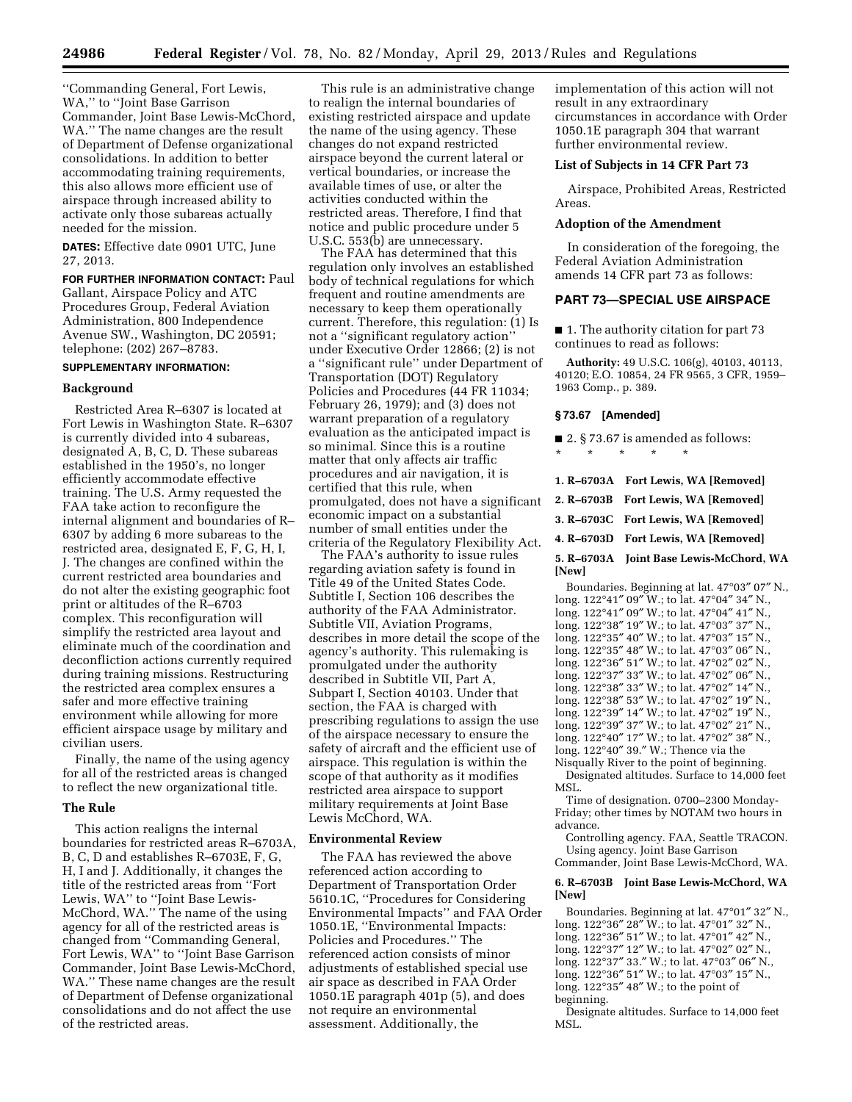''Commanding General, Fort Lewis, WA,'' to ''Joint Base Garrison Commander, Joint Base Lewis-McChord, WA.'' The name changes are the result of Department of Defense organizational consolidations. In addition to better accommodating training requirements, this also allows more efficient use of airspace through increased ability to activate only those subareas actually needed for the mission.

**DATES:** Effective date 0901 UTC, June 27, 2013.

**FOR FURTHER INFORMATION CONTACT:** Paul Gallant, Airspace Policy and ATC Procedures Group, Federal Aviation Administration, 800 Independence Avenue SW., Washington, DC 20591; telephone: (202) 267–8783.

# **SUPPLEMENTARY INFORMATION:**

## **Background**

Restricted Area R–6307 is located at Fort Lewis in Washington State. R–6307 is currently divided into 4 subareas, designated A, B, C, D. These subareas established in the 1950's, no longer efficiently accommodate effective training. The U.S. Army requested the FAA take action to reconfigure the internal alignment and boundaries of R– 6307 by adding 6 more subareas to the restricted area, designated E, F, G, H, I, J. The changes are confined within the current restricted area boundaries and do not alter the existing geographic foot print or altitudes of the R–6703 complex. This reconfiguration will simplify the restricted area layout and eliminate much of the coordination and deconfliction actions currently required during training missions. Restructuring the restricted area complex ensures a safer and more effective training environment while allowing for more efficient airspace usage by military and civilian users.

Finally, the name of the using agency for all of the restricted areas is changed to reflect the new organizational title.

#### **The Rule**

This action realigns the internal boundaries for restricted areas R–6703A, B, C, D and establishes R–6703E, F, G, H, I and J. Additionally, it changes the title of the restricted areas from ''Fort Lewis, WA'' to ''Joint Base Lewis-McChord, WA.'' The name of the using agency for all of the restricted areas is changed from ''Commanding General, Fort Lewis, WA'' to ''Joint Base Garrison Commander, Joint Base Lewis-McChord, WA.'' These name changes are the result of Department of Defense organizational consolidations and do not affect the use of the restricted areas.

This rule is an administrative change to realign the internal boundaries of existing restricted airspace and update the name of the using agency. These changes do not expand restricted airspace beyond the current lateral or vertical boundaries, or increase the available times of use, or alter the activities conducted within the restricted areas. Therefore, I find that notice and public procedure under 5 U.S.C. 553(b) are unnecessary.

The FAA has determined that this regulation only involves an established body of technical regulations for which frequent and routine amendments are necessary to keep them operationally current. Therefore, this regulation: (1) Is not a ''significant regulatory action'' under Executive Order 12866; (2) is not a ''significant rule'' under Department of Transportation (DOT) Regulatory Policies and Procedures (44 FR 11034; February 26, 1979); and (3) does not warrant preparation of a regulatory evaluation as the anticipated impact is so minimal. Since this is a routine matter that only affects air traffic procedures and air navigation, it is certified that this rule, when promulgated, does not have a significant economic impact on a substantial number of small entities under the criteria of the Regulatory Flexibility Act.

The FAA's authority to issue rules regarding aviation safety is found in Title 49 of the United States Code. Subtitle I, Section 106 describes the authority of the FAA Administrator. Subtitle VII, Aviation Programs, describes in more detail the scope of the agency's authority. This rulemaking is promulgated under the authority described in Subtitle VII, Part A, Subpart I, Section 40103. Under that section, the FAA is charged with prescribing regulations to assign the use of the airspace necessary to ensure the safety of aircraft and the efficient use of airspace. This regulation is within the scope of that authority as it modifies restricted area airspace to support military requirements at Joint Base Lewis McChord, WA.

## **Environmental Review**

The FAA has reviewed the above referenced action according to Department of Transportation Order 5610.1C, ''Procedures for Considering Environmental Impacts'' and FAA Order 1050.1E, ''Environmental Impacts: Policies and Procedures.'' The referenced action consists of minor adjustments of established special use air space as described in FAA Order 1050.1E paragraph 401p (5), and does not require an environmental assessment. Additionally, the

implementation of this action will not result in any extraordinary circumstances in accordance with Order 1050.1E paragraph 304 that warrant further environmental review.

#### **List of Subjects in 14 CFR Part 73**

Airspace, Prohibited Areas, Restricted Areas.

#### **Adoption of the Amendment**

In consideration of the foregoing, the Federal Aviation Administration amends 14 CFR part 73 as follows:

#### **PART 73—SPECIAL USE AIRSPACE**

■ 1. The authority citation for part 73 continues to read as follows:

**Authority:** 49 U.S.C. 106(g), 40103, 40113, 40120; E.O. 10854, 24 FR 9565, 3 CFR, 1959– 1963 Comp., p. 389.

## **§ 73.67 [Amended]**

|                                              |         |                    | $\blacksquare$ 2. § 73.67 is amended as follows: |
|----------------------------------------------|---------|--------------------|--------------------------------------------------|
| $\star$                                      | $\star$ | $\star$<br>$\star$ | $\star$                                          |
|                                              |         |                    |                                                  |
|                                              |         |                    | 1. R–6703A Fort Lewis, WA [Removed]              |
|                                              |         |                    | 2. R–6703B Fort Lewis, WA [Removed]              |
|                                              |         |                    | 3. R–6703C Fort Lewis, WA [Removed]              |
|                                              |         |                    | 4. R–6703D Fort Lewis, WA [Removed]              |
|                                              | [New]   |                    | 5. R-6703A Joint Base Lewis-McChord, WA          |
| Boundaries. Beginning at lat. 47°03" 07" N., |         |                    |                                                  |

long. 122°41″ 09″ W.; to lat. 47°04″ 34″ N., long. 122°41″ 09″ W.; to lat. 47°04″ 41″ N., long. 122°38″ 19″ W.; to lat. 47°03″ 37″ N., long. 122°35″ 40″ W.; to lat. 47°03″ 15″ N., long. 122°35″ 48″ W.; to lat. 47°03″ 06″ N., long. 122°36″ 51″ W.; to lat. 47°02″ 02″ N., long. 122°37″ 33″ W.; to lat. 47°02″ 06″ N., long. 122°38″ 33″ W.; to lat. 47°02″ 14″ N., long. 122°38″ 53″ W.; to lat. 47°02″ 19″ N., long. 122°39″ 14″ W.; to lat. 47°02″ 19″ N., long. 122°39″ 37″ W.; to lat. 47°02″ 21″ N., long. 122°40″ 17″ W.; to lat. 47°02″ 38″ N., long. 122°40″ 39.″ W.; Thence via the

Nisqually River to the point of beginning. Designated altitudes. Surface to 14,000 feet MSL.

Time of designation. 0700–2300 Monday-Friday; other times by NOTAM two hours in advance.

Controlling agency. FAA, Seattle TRACON. Using agency. Joint Base Garrison Commander, Joint Base Lewis-McChord, WA.

#### **6. R–6703B Joint Base Lewis-McChord, WA [New]**

Boundaries. Beginning at lat. 47°01″ 32″ N., long. 122°36″ 28″ W.; to lat. 47°01″ 32″ N., long. 122°36″ 51″ W.; to lat. 47°01″ 42″ N., long. 122°37″ 12″ W.; to lat. 47°02″ 02″ N., long. 122°37″ 33.″ W.; to lat. 47°03″ 06″ N.,  $\log_{10} 122^{\circ}36''$  51" W.; to lat. 47°03" 15" N., long. 122°35″ 48″ W.; to the point of beginning.

Designate altitudes. Surface to 14,000 feet MSL.